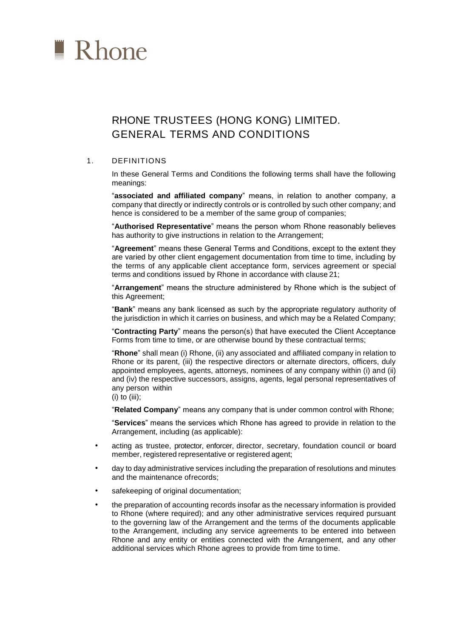

# RHONE TRUSTEES (HONG KONG) LIMITED. GENERAL TERMS AND CONDITIONS

## 1. DEFINITIONS

In these General Terms and Conditions the following terms shall have the following meanings:

"**associated and affiliated company**" means, in relation to another company, a company that directly or indirectly controls or is controlled by such other company; and hence is considered to be a member of the same group of companies;

"**Authorised Representative**" means the person whom Rhone reasonably believes has authority to give instructions in relation to the Arrangement;

"**Agreement**" means these General Terms and Conditions, except to the extent they are varied by other client engagement documentation from time to time, including by the terms of any applicable client acceptance form, services agreement or special terms and conditions issued by Rhone in accordance with clause 21;

"**Arrangement**" means the structure administered by Rhone which is the subject of this Agreement;

"**Bank**" means any bank licensed as such by the appropriate regulatory authority of the jurisdiction in which it carries on business, and which may be a Related Company;

"**Contracting Party**" means the person(s) that have executed the Client Acceptance Forms from time to time, or are otherwise bound by these contractual terms;

"**Rhone**" shall mean (i) Rhone, (ii) any associated and affiliated company in relation to Rhone or its parent, (iii) the respective directors or alternate directors, officers, duly appointed employees, agents, attorneys, nominees of any company within (i) and (ii) and (iv) the respective successors, assigns, agents, legal personal representatives of any person within

(i) to (iii);

"**Related Company**" means any company that is under common control with Rhone;

"**Services**" means the services which Rhone has agreed to provide in relation to the Arrangement, including (as applicable):

- acting as trustee, protector, enforcer, director, secretary, foundation council or board member, registered representative or registered agent;
- day to day administrative services including the preparation of resolutions and minutes and the maintenance of records;
- safekeeping of original documentation;
- the preparation of accounting records insofar as the necessary information is provided to Rhone (where required); and any other administrative services required pursuant to the governing law of the Arrangement and the terms of the documents applicable to the Arrangement, including any service agreements to be entered into between Rhone and any entity or entities connected with the Arrangement, and any other additional services which Rhone agrees to provide from time to time.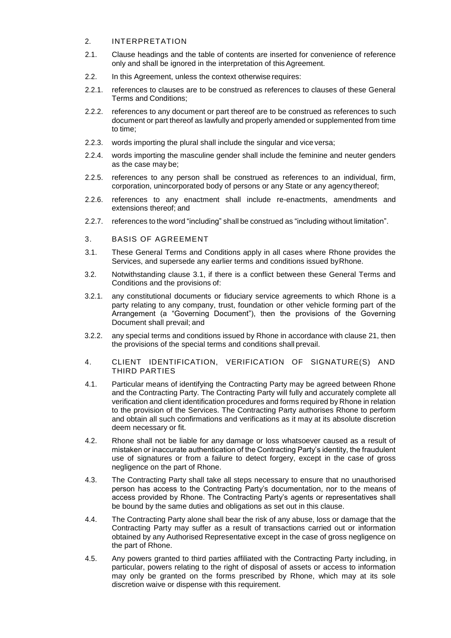### 2. INTERPRETATION

- 2.1. Clause headings and the table of contents are inserted for convenience of reference only and shall be ignored in the interpretation of this Agreement.
- 2.2. In this Agreement, unless the context otherwise requires:
- 2.2.1. references to clauses are to be construed as references to clauses of these General Terms and Conditions;
- 2.2.2. references to any document or part thereof are to be construed as references to such document or part thereof as lawfully and properly amended or supplemented from time to time;
- 2.2.3. words importing the plural shall include the singular and vice versa;
- 2.2.4. words importing the masculine gender shall include the feminine and neuter genders as the case may be;
- 2.2.5. references to any person shall be construed as references to an individual, firm, corporation, unincorporated body of persons or any State or any agencythereof;
- 2.2.6. references to any enactment shall include re-enactments, amendments and extensions thereof; and
- 2.2.7. references to the word "including" shall be construed as "including without limitation".
- 3. BASIS OF AGREEMENT
- 3.1. These General Terms and Conditions apply in all cases where Rhone provides the Services, and supersede any earlier terms and conditions issued byRhone.
- 3.2. Notwithstanding clause 3.1, if there is a conflict between these General Terms and Conditions and the provisions of:
- 3.2.1. any constitutional documents or fiduciary service agreements to which Rhone is a party relating to any company, trust, foundation or other vehicle forming part of the Arrangement (a "Governing Document"), then the provisions of the Governing Document shall prevail; and
- 3.2.2. any special terms and conditions issued by Rhone in accordance with clause 21, then the provisions of the special terms and conditions shall prevail.
- 4. CLIENT IDENTIFICATION, VERIFICATION OF SIGNATURE(S) AND THIRD PARTIES
- 4.1. Particular means of identifying the Contracting Party may be agreed between Rhone and the Contracting Party. The Contracting Party will fully and accurately complete all verification and client identification procedures and forms required by Rhone in relation to the provision of the Services. The Contracting Party authorises Rhone to perform and obtain all such confirmations and verifications as it may at its absolute discretion deem necessary or fit.
- 4.2. Rhone shall not be liable for any damage or loss whatsoever caused as a result of mistaken or inaccurate authentication of the Contracting Party's identity, the fraudulent use of signatures or from a failure to detect forgery, except in the case of gross negligence on the part of Rhone.
- 4.3. The Contracting Party shall take all steps necessary to ensure that no unauthorised person has access to the Contracting Party's documentation, nor to the means of access provided by Rhone. The Contracting Party's agents or representatives shall be bound by the same duties and obligations as set out in this clause.
- 4.4. The Contracting Party alone shall bear the risk of any abuse, loss or damage that the Contracting Party may suffer as a result of transactions carried out or information obtained by any Authorised Representative except in the case of gross negligence on the part of Rhone.
- 4.5. Any powers granted to third parties affiliated with the Contracting Party including, in particular, powers relating to the right of disposal of assets or access to information may only be granted on the forms prescribed by Rhone, which may at its sole discretion waive or dispense with this requirement.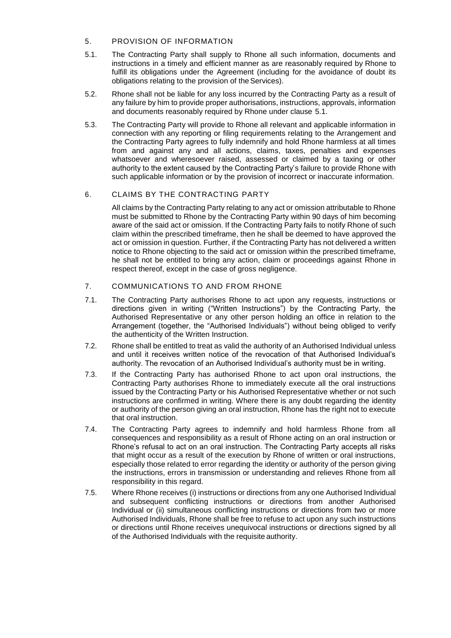# 5. PROVISION OF INFORMATION

- 5.1. The Contracting Party shall supply to Rhone all such information, documents and instructions in a timely and efficient manner as are reasonably required by Rhone to fulfill its obligations under the Agreement (including for the avoidance of doubt its obligations relating to the provision of theServices).
- 5.2. Rhone shall not be liable for any loss incurred by the Contracting Party as a result of any failure by him to provide proper authorisations, instructions, approvals, information and documents reasonably required by Rhone under clause 5.1.
- 5.3. The Contracting Party will provide to Rhone all relevant and applicable information in connection with any reporting or filing requirements relating to the Arrangement and the Contracting Party agrees to fully indemnify and hold Rhone harmless at all times from and against any and all actions, claims, taxes, penalties and expenses whatsoever and wheresoever raised, assessed or claimed by a taxing or other authority to the extent caused by the Contracting Party's failure to provide Rhone with such applicable information or by the provision of incorrect or inaccurate information.

# 6. CLAIMS BY THE CONTRACTING PARTY

All claims by the Contracting Party relating to any act or omission attributable to Rhone must be submitted to Rhone by the Contracting Party within 90 days of him becoming aware of the said act or omission. If the Contracting Party fails to notify Rhone of such claim within the prescribed timeframe, then he shall be deemed to have approved the act or omission in question. Further, if the Contracting Party has not delivered a written notice to Rhone objecting to the said act or omission within the prescribed timeframe, he shall not be entitled to bring any action, claim or proceedings against Rhone in respect thereof, except in the case of gross negligence.

# 7. COMMUNICATIONS TO AND FROM RHONE

- 7.1. The Contracting Party authorises Rhone to act upon any requests, instructions or directions given in writing ("Written Instructions") by the Contracting Party, the Authorised Representative or any other person holding an office in relation to the Arrangement (together, the "Authorised Individuals") without being obliged to verify the authenticity of the Written Instruction.
- 7.2. Rhone shall be entitled to treat as valid the authority of an Authorised Individual unless and until it receives written notice of the revocation of that Authorised Individual's authority. The revocation of an Authorised Individual's authority must be in writing.
- 7.3. If the Contracting Party has authorised Rhone to act upon oral instructions, the Contracting Party authorises Rhone to immediately execute all the oral instructions issued by the Contracting Party or his Authorised Representative whether or not such instructions are confirmed in writing. Where there is any doubt regarding the identity or authority of the person giving an oral instruction, Rhone has the right not to execute that oral instruction.
- 7.4. The Contracting Party agrees to indemnify and hold harmless Rhone from all consequences and responsibility as a result of Rhone acting on an oral instruction or Rhone's refusal to act on an oral instruction. The Contracting Party accepts all risks that might occur as a result of the execution by Rhone of written or oral instructions, especially those related to error regarding the identity or authority of the person giving the instructions, errors in transmission or understanding and relieves Rhone from all responsibility in this regard.
- 7.5. Where Rhone receives (i) instructions or directions from any one Authorised Individual and subsequent conflicting instructions or directions from another Authorised Individual or (ii) simultaneous conflicting instructions or directions from two or more Authorised Individuals, Rhone shall be free to refuse to act upon any such instructions or directions until Rhone receives unequivocal instructions or directions signed by all of the Authorised Individuals with the requisite authority.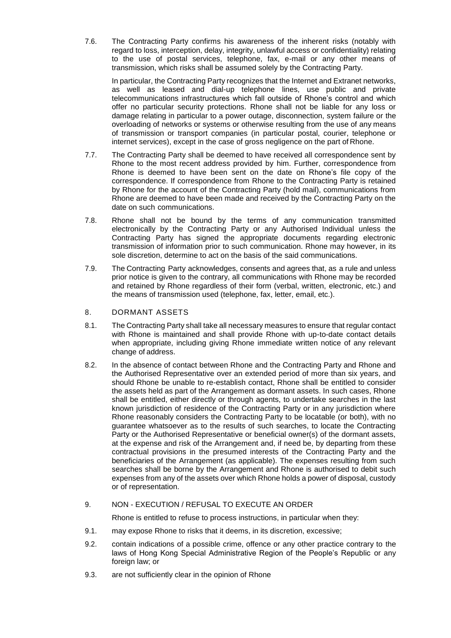7.6. The Contracting Party confirms his awareness of the inherent risks (notably with regard to loss, interception, delay, integrity, unlawful access or confidentiality) relating to the use of postal services, telephone, fax, e-mail or any other means of transmission, which risks shall be assumed solely by the Contracting Party.

In particular, the Contracting Party recognizes that the Internet and Extranet networks, as well as leased and dial-up telephone lines, use public and private telecommunications infrastructures which fall outside of Rhone's control and which offer no particular security protections. Rhone shall not be liable for any loss or damage relating in particular to a power outage, disconnection, system failure or the overloading of networks or systems or otherwise resulting from the use of any means of transmission or transport companies (in particular postal, courier, telephone or internet services), except in the case of gross negligence on the part of Rhone.

- 7.7. The Contracting Party shall be deemed to have received all correspondence sent by Rhone to the most recent address provided by him. Further, correspondence from Rhone is deemed to have been sent on the date on Rhone's file copy of the correspondence. If correspondence from Rhone to the Contracting Party is retained by Rhone for the account of the Contracting Party (hold mail), communications from Rhone are deemed to have been made and received by the Contracting Party on the date on such communications.
- 7.8. Rhone shall not be bound by the terms of any communication transmitted electronically by the Contracting Party or any Authorised Individual unless the Contracting Party has signed the appropriate documents regarding electronic transmission of information prior to such communication. Rhone may however, in its sole discretion, determine to act on the basis of the said communications.
- 7.9. The Contracting Party acknowledges, consents and agrees that, as a rule and unless prior notice is given to the contrary, all communications with Rhone may be recorded and retained by Rhone regardless of their form (verbal, written, electronic, etc.) and the means of transmission used (telephone, fax, letter, email, etc.).
- 8. DORMANT ASSETS
- 8.1. The Contracting Party shall take all necessary measures to ensure that regular contact with Rhone is maintained and shall provide Rhone with up-to-date contact details when appropriate, including giving Rhone immediate written notice of any relevant change of address.
- 8.2. In the absence of contact between Rhone and the Contracting Party and Rhone and the Authorised Representative over an extended period of more than six years, and should Rhone be unable to re-establish contact, Rhone shall be entitled to consider the assets held as part of the Arrangement as dormant assets. In such cases, Rhone shall be entitled, either directly or through agents, to undertake searches in the last known jurisdiction of residence of the Contracting Party or in any jurisdiction where Rhone reasonably considers the Contracting Party to be locatable (or both), with no guarantee whatsoever as to the results of such searches, to locate the Contracting Party or the Authorised Representative or beneficial owner(s) of the dormant assets, at the expense and risk of the Arrangement and, if need be, by departing from these contractual provisions in the presumed interests of the Contracting Party and the beneficiaries of the Arrangement (as applicable). The expenses resulting from such searches shall be borne by the Arrangement and Rhone is authorised to debit such expenses from any of the assets over which Rhone holds a power of disposal, custody or of representation.

## 9. NON - EXECUTION / REFUSAL TO EXECUTE AN ORDER

Rhone is entitled to refuse to process instructions, in particular when they:

- 9.1. may expose Rhone to risks that it deems, in its discretion, excessive;
- 9.2. contain indications of a possible crime, offence or any other practice contrary to the laws of Hong Kong Special Administrative Region of the People's Republic or any foreign law; or
- 9.3. are not sufficiently clear in the opinion of Rhone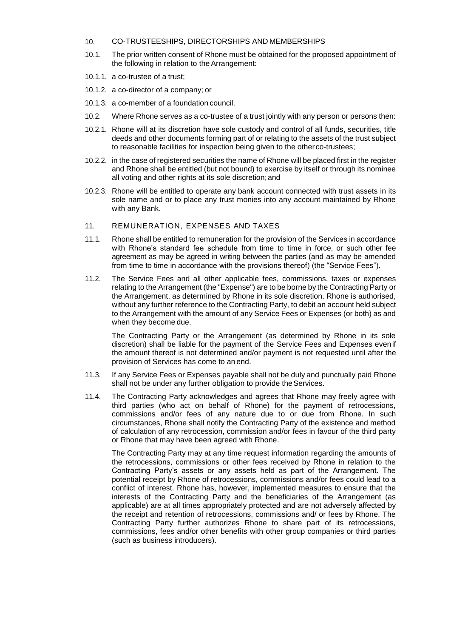#### 10. CO-TRUSTEESHIPS, DIRECTORSHIPS AND MEMBERSHIPS

- 10.1. The prior written consent of Rhone must be obtained for the proposed appointment of the following in relation to the Arrangement:
- 10.1.1. a co-trustee of a trust;
- 10.1.2. a co-director of a company; or
- 10.1.3. a co-member of a foundation council.
- 10.2. Where Rhone serves as a co-trustee of a trust jointly with any person or persons then:
- 10.2.1. Rhone will at its discretion have sole custody and control of all funds, securities, title deeds and other documents forming part of or relating to the assets of the trust subject to reasonable facilities for inspection being given to the otherco-trustees;
- 10.2.2. in the case of registered securities the name of Rhone will be placed first in the register and Rhone shall be entitled (but not bound) to exercise by itself or through its nominee all voting and other rights at its sole discretion;and
- 10.2.3. Rhone will be entitled to operate any bank account connected with trust assets in its sole name and or to place any trust monies into any account maintained by Rhone with any Bank.
- 11. REMUNERATION, EXPENSES AND TAXES
- 11.1. Rhone shall be entitled to remuneration for the provision of the Services in accordance with Rhone's standard fee schedule from time to time in force, or such other fee agreement as may be agreed in writing between the parties (and as may be amended from time to time in accordance with the provisions thereof) (the "Service Fees").
- 11.2. The Service Fees and all other applicable fees, commissions, taxes or expenses relating to the Arrangement (the "Expense") are to be borne by the Contracting Party or the Arrangement, as determined by Rhone in its sole discretion. Rhone is authorised, without any further reference to the Contracting Party, to debit an account held subject to the Arrangement with the amount of any Service Fees or Expenses (or both) as and when they become due.

The Contracting Party or the Arrangement (as determined by Rhone in its sole discretion) shall be liable for the payment of the Service Fees and Expenses evenif the amount thereof is not determined and/or payment is not requested until after the provision of Services has come to an end.

- 11.3. If any Service Fees or Expenses payable shall not be duly and punctually paid Rhone shall not be under any further obligation to provide the Services.
- 11.4. The Contracting Party acknowledges and agrees that Rhone may freely agree with third parties (who act on behalf of Rhone) for the payment of retrocessions, commissions and/or fees of any nature due to or due from Rhone. In such circumstances, Rhone shall notify the Contracting Party of the existence and method of calculation of any retrocession, commission and/or fees in favour of the third party or Rhone that may have been agreed with Rhone.

The Contracting Party may at any time request information regarding the amounts of the retrocessions, commissions or other fees received by Rhone in relation to the Contracting Party's assets or any assets held as part of the Arrangement. The potential receipt by Rhone of retrocessions, commissions and/or fees could lead to a conflict of interest. Rhone has, however, implemented measures to ensure that the interests of the Contracting Party and the beneficiaries of the Arrangement (as applicable) are at all times appropriately protected and are not adversely affected by the receipt and retention of retrocessions, commissions and/ or fees by Rhone. The Contracting Party further authorizes Rhone to share part of its retrocessions, commissions, fees and/or other benefits with other group companies or third parties (such as business introducers).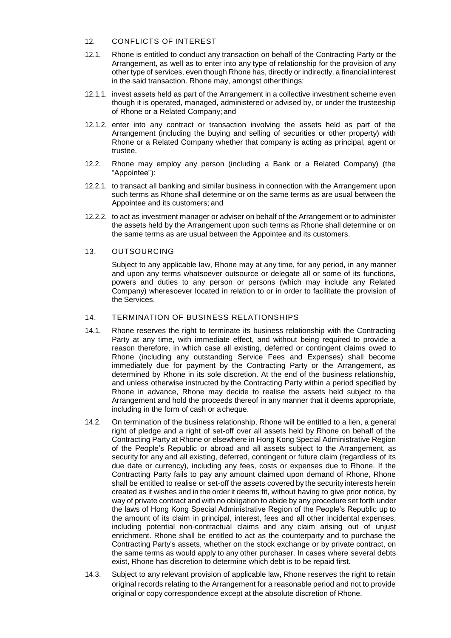### 12. CONFLICTS OF INTEREST

- 12.1. Rhone is entitled to conduct any transaction on behalf of the Contracting Party or the Arrangement, as well as to enter into any type of relationship for the provision of any other type of services, even though Rhone has, directly or indirectly, a financial interest in the said transaction. Rhone may, amongst otherthings:
- 12.1.1. invest assets held as part of the Arrangement in a collective investment scheme even though it is operated, managed, administered or advised by, or under the trusteeship of Rhone or a Related Company; and
- 12.1.2. enter into any contract or transaction involving the assets held as part of the Arrangement (including the buying and selling of securities or other property) with Rhone or a Related Company whether that company is acting as principal, agent or trustee.
- 12.2. Rhone may employ any person (including a Bank or a Related Company) (the "Appointee"):
- 12.2.1. to transact all banking and similar business in connection with the Arrangement upon such terms as Rhone shall determine or on the same terms as are usual between the Appointee and its customers; and
- 12.2.2. to act as investment manager or adviser on behalf of the Arrangement or to administer the assets held by the Arrangement upon such terms as Rhone shall determine or on the same terms as are usual between the Appointee and its customers.

## 13. OUTSOURCING

Subject to any applicable law, Rhone may at any time, for any period, in any manner and upon any terms whatsoever outsource or delegate all or some of its functions, powers and duties to any person or persons (which may include any Related Company) wheresoever located in relation to or in order to facilitate the provision of the Services.

#### 14. TERMINATION OF BUSINESS RELATIONSHIPS

- 14.1. Rhone reserves the right to terminate its business relationship with the Contracting Party at any time, with immediate effect, and without being required to provide a reason therefore, in which case all existing, deferred or contingent claims owed to Rhone (including any outstanding Service Fees and Expenses) shall become immediately due for payment by the Contracting Party or the Arrangement, as determined by Rhone in its sole discretion. At the end of the business relationship, and unless otherwise instructed by the Contracting Party within a period specified by Rhone in advance, Rhone may decide to realise the assets held subject to the Arrangement and hold the proceeds thereof in any manner that it deems appropriate, including in the form of cash or acheque.
- 14.2. On termination of the business relationship, Rhone will be entitled to a lien, a general right of pledge and a right of set-off over all assets held by Rhone on behalf of the Contracting Party at Rhone or elsewhere in Hong Kong Special Administrative Region of the People's Republic or abroad and all assets subject to the Arrangement, as security for any and all existing, deferred, contingent or future claim (regardless of its due date or currency), including any fees, costs or expenses due to Rhone. If the Contracting Party fails to pay any amount claimed upon demand of Rhone, Rhone shall be entitled to realise or set-off the assets covered by the security interests herein created as it wishes and in the order it deems fit, without having to give prior notice, by way of private contract and with no obligation to abide by any procedure set forth under the laws of Hong Kong Special Administrative Region of the People's Republic up to the amount of its claim in principal, interest, fees and all other incidental expenses, including potential non-contractual claims and any claim arising out of unjust enrichment. Rhone shall be entitled to act as the counterparty and to purchase the Contracting Party's assets, whether on the stock exchange or by private contract, on the same terms as would apply to any other purchaser. In cases where several debts exist, Rhone has discretion to determine which debt is to be repaid first.
- 14.3. Subject to any relevant provision of applicable law, Rhone reserves the right to retain original records relating to the Arrangement for a reasonable period and not to provide original or copy correspondence except at the absolute discretion of Rhone.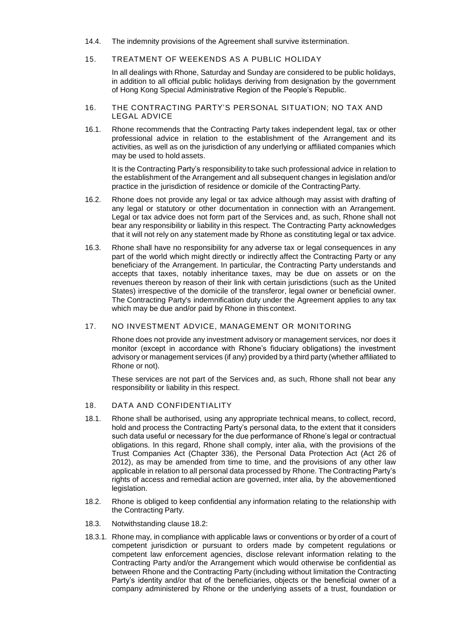- 14.4. The indemnity provisions of the Agreement shall survive itstermination.
- 15. TREATMENT OF WEEKENDS AS A PUBLIC HOLIDAY

In all dealings with Rhone, Saturday and Sunday are considered to be public holidays, in addition to all official public holidays deriving from designation by the government of Hong Kong Special Administrative Region of the People's Republic.

- 16. THE CONTRACTING PARTY'S PERSONAL SITUATION; NO TAX AND LEGAL ADVICE
- 16.1. Rhone recommends that the Contracting Party takes independent legal, tax or other professional advice in relation to the establishment of the Arrangement and its activities, as well as on the jurisdiction of any underlying or affiliated companies which may be used to hold assets.

It is the Contracting Party's responsibility to take such professional advice in relation to the establishment of the Arrangement and all subsequent changes in legislation and/or practice in the jurisdiction of residence or domicile of the ContractingParty.

- 16.2. Rhone does not provide any legal or tax advice although may assist with drafting of any legal or statutory or other documentation in connection with an Arrangement. Legal or tax advice does not form part of the Services and, as such, Rhone shall not bear any responsibility or liability in this respect. The Contracting Party acknowledges that it will not rely on any statement made by Rhone as constituting legal or tax advice.
- 16.3. Rhone shall have no responsibility for any adverse tax or legal consequences in any part of the world which might directly or indirectly affect the Contracting Party or any beneficiary of the Arrangement. In particular, the Contracting Party understands and accepts that taxes, notably inheritance taxes, may be due on assets or on the revenues thereon by reason of their link with certain jurisdictions (such as the United States) irrespective of the domicile of the transferor, legal owner or beneficial owner. The Contracting Party's indemnification duty under the Agreement applies to any tax which may be due and/or paid by Rhone in this context.

## 17. NO INVESTMENT ADVICE, MANAGEMENT OR MONITORING

Rhone does not provide any investment advisory or management services, nor does it monitor (except in accordance with Rhone's fiduciary obligations) the investment advisory or management services (if any) provided by a third party (whether affiliated to Rhone or not).

These services are not part of the Services and, as such, Rhone shall not bear any responsibility or liability in this respect.

- 18. DATA AND CONFIDENTIALITY
- 18.1. Rhone shall be authorised, using any appropriate technical means, to collect, record, hold and process the Contracting Party's personal data, to the extent that it considers such data useful or necessary for the due performance of Rhone's legal or contractual obligations. In this regard, Rhone shall comply, inter alia, with the provisions of the Trust Companies Act (Chapter 336), the Personal Data Protection Act (Act 26 of 2012), as may be amended from time to time, and the provisions of any other law applicable in relation to all personal data processed by Rhone. The Contracting Party's rights of access and remedial action are governed, inter alia, by the abovementioned legislation.
- 18.2. Rhone is obliged to keep confidential any information relating to the relationship with the Contracting Party.
- 18.3. Notwithstanding clause 18.2:
- 18.3.1. Rhone may, in compliance with applicable laws or conventions or by order of a court of competent jurisdiction or pursuant to orders made by competent regulations or competent law enforcement agencies, disclose relevant information relating to the Contracting Party and/or the Arrangement which would otherwise be confidential as between Rhone and the Contracting Party (including without limitation the Contracting Party's identity and/or that of the beneficiaries, objects or the beneficial owner of a company administered by Rhone or the underlying assets of a trust, foundation or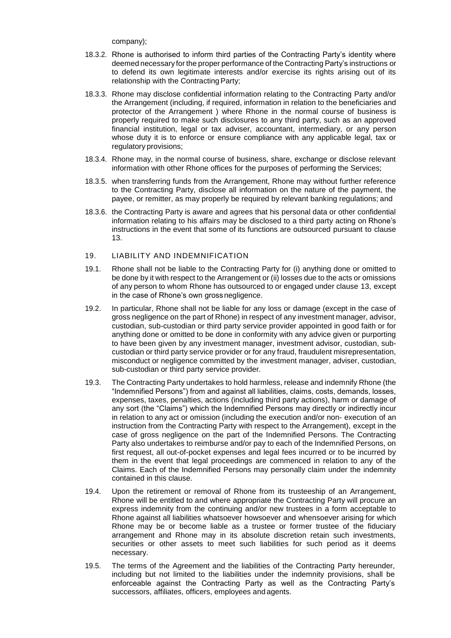company);

- 18.3.2. Rhone is authorised to inform third parties of the Contracting Party's identity where deemed necessary for the proper performance of the Contracting Party's instructions or to defend its own legitimate interests and/or exercise its rights arising out of its relationship with the Contracting Party;
- 18.3.3. Rhone may disclose confidential information relating to the Contracting Party and/or the Arrangement (including, if required, information in relation to the beneficiaries and protector of the Arrangement ) where Rhone in the normal course of business is properly required to make such disclosures to any third party, such as an approved financial institution, legal or tax adviser, accountant, intermediary, or any person whose duty it is to enforce or ensure compliance with any applicable legal, tax or regulatory provisions;
- 18.3.4. Rhone may, in the normal course of business, share, exchange or disclose relevant information with other Rhone offices for the purposes of performing the Services;
- 18.3.5. when transferring funds from the Arrangement, Rhone may without further reference to the Contracting Party, disclose all information on the nature of the payment, the payee, or remitter, as may properly be required by relevant banking regulations; and
- 18.3.6. the Contracting Party is aware and agrees that his personal data or other confidential information relating to his affairs may be disclosed to a third party acting on Rhone's instructions in the event that some of its functions are outsourced pursuant to clause 13.

## 19. LIABILITY AND INDEMNIFICATION

- 19.1. Rhone shall not be liable to the Contracting Party for (i) anything done or omitted to be done by it with respect to the Arrangement or (ii) losses due to the acts or omissions of any person to whom Rhone has outsourced to or engaged under clause 13, except in the case of Rhone's own grossnegligence.
- 19.2. In particular, Rhone shall not be liable for any loss or damage (except in the case of gross negligence on the part of Rhone) in respect of any investment manager, advisor, custodian, sub-custodian or third party service provider appointed in good faith or for anything done or omitted to be done in conformity with any advice given or purporting to have been given by any investment manager, investment advisor, custodian, subcustodian or third party service provider or for any fraud, fraudulent misrepresentation, misconduct or negligence committed by the investment manager, adviser, custodian, sub-custodian or third party service provider.
- 19.3. The Contracting Party undertakes to hold harmless, release and indemnify Rhone (the "Indemnified Persons") from and against all liabilities, claims, costs, demands, losses, expenses, taxes, penalties, actions (including third party actions), harm or damage of any sort (the "Claims") which the Indemnified Persons may directly or indirectly incur in relation to any act or omission (including the execution and/or non- execution of an instruction from the Contracting Party with respect to the Arrangement), except in the case of gross negligence on the part of the Indemnified Persons. The Contracting Party also undertakes to reimburse and/or pay to each of the Indemnified Persons, on first request, all out-of-pocket expenses and legal fees incurred or to be incurred by them in the event that legal proceedings are commenced in relation to any of the Claims. Each of the Indemnified Persons may personally claim under the indemnity contained in this clause.
- 19.4. Upon the retirement or removal of Rhone from its trusteeship of an Arrangement, Rhone will be entitled to and where appropriate the Contracting Party will procure an express indemnity from the continuing and/or new trustees in a form acceptable to Rhone against all liabilities whatsoever howsoever and whensoever arising for which Rhone may be or become liable as a trustee or former trustee of the fiduciary arrangement and Rhone may in its absolute discretion retain such investments, securities or other assets to meet such liabilities for such period as it deems necessary.
- 19.5. The terms of the Agreement and the liabilities of the Contracting Party hereunder, including but not limited to the liabilities under the indemnity provisions, shall be enforceable against the Contracting Party as well as the Contracting Party's successors, affiliates, officers, employees and agents.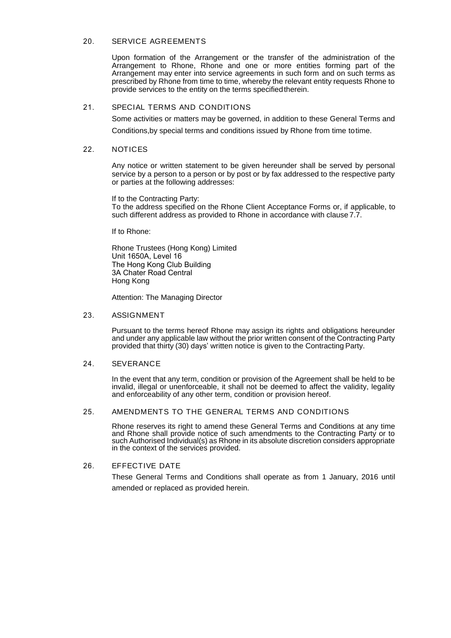#### 20. SERVICE AGREEMENTS

Upon formation of the Arrangement or the transfer of the administration of the Arrangement to Rhone, Rhone and one or more entities forming part of the Arrangement may enter into service agreements in such form and on such terms as prescribed by Rhone from time to time, whereby the relevant entity requests Rhone to provide services to the entity on the terms specified therein.

## 21. SPECIAL TERMS AND CONDITIONS

Some activities or matters may be governed, in addition to these General Terms and

Conditions,by special terms and conditions issued by Rhone from time to time.

#### 22. NOTICES

Any notice or written statement to be given hereunder shall be served by personal service by a person to a person or by post or by fax addressed to the respective party or parties at the following addresses:

If to the Contracting Party:

To the address specified on the Rhone Client Acceptance Forms or, if applicable, to such different address as provided to Rhone in accordance with clause 7.7.

If to Rhone:

Rhone Trustees (Hong Kong) Limited Unit 1650A, Level 16 The Hong Kong Club Building 3A Chater Road Central Hong Kong

Attention: The Managing Director

#### 23. ASSIGNMENT

Pursuant to the terms hereof Rhone may assign its rights and obligations hereunder and under any applicable law without the prior written consent of the Contracting Party provided that thirty (30) days' written notice is given to the Contracting Party.

#### 24. SEVERANCE

In the event that any term, condition or provision of the Agreement shall be held to be invalid, illegal or unenforceable, it shall not be deemed to affect the validity, legality and enforceability of any other term, condition or provision hereof.

#### 25. AMENDMENTS TO THE GENERAL TERMS AND CONDITIONS

Rhone reserves its right to amend these General Terms and Conditions at any time and Rhone shall provide notice of such amendments to the Contracting Party or to such Authorised Individual(s) as Rhone in its absolute discretion considers appropriate in the context of the services provided.

#### 26. EFFECTIVE DATE

These General Terms and Conditions shall operate as from 1 January, 2016 until amended or replaced as provided herein.